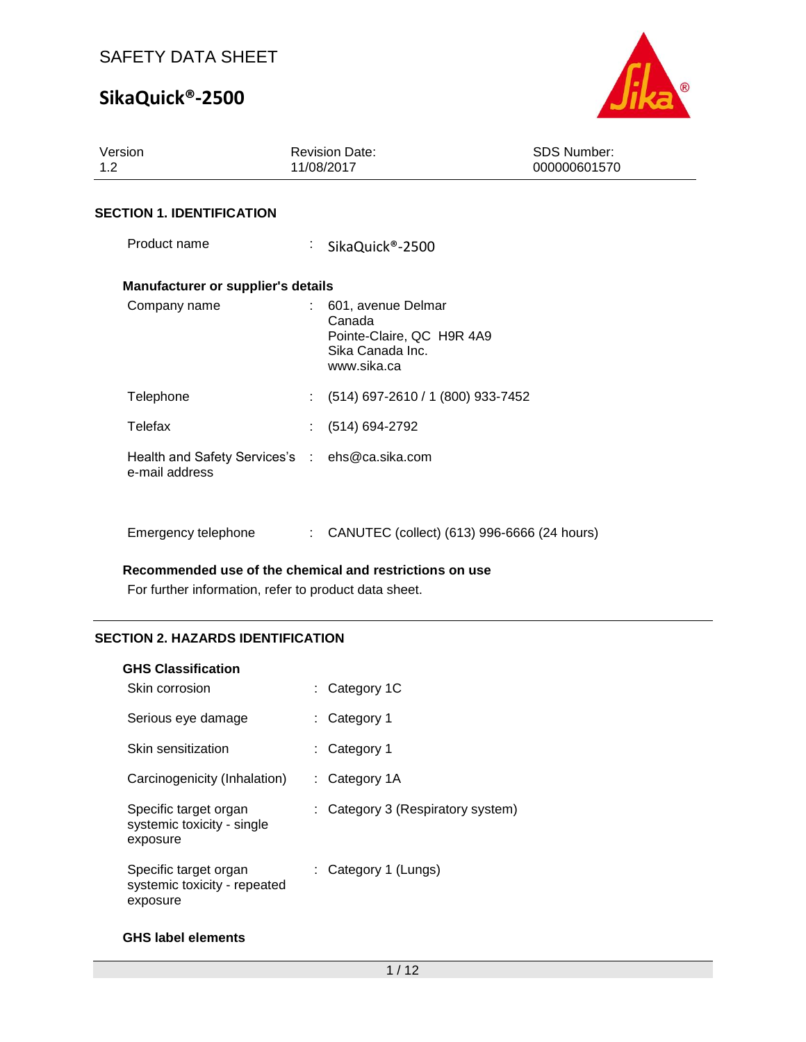# **SikaQuick®-2500**



| Version<br>1.2                                                   | <b>Revision Date:</b><br>11/08/2017                                                            | <b>SDS Number:</b><br>000000601570 |
|------------------------------------------------------------------|------------------------------------------------------------------------------------------------|------------------------------------|
| <b>SECTION 1. IDENTIFICATION</b>                                 |                                                                                                |                                    |
| Product name                                                     | ÷.<br>SikaQuick®-2500                                                                          |                                    |
| Manufacturer or supplier's details                               |                                                                                                |                                    |
| Company name                                                     | : 601, avenue Delmar<br>Canada<br>Pointe-Claire, QC H9R 4A9<br>Sika Canada Inc.<br>www.sika.ca |                                    |
| Telephone                                                        | (514) 697-2610 / 1 (800) 933-7452<br>÷.                                                        |                                    |
| Telefax                                                          | (514) 694-2792                                                                                 |                                    |
| Health and Safety Services's : ehs@ca.sika.com<br>e-mail address |                                                                                                |                                    |
| Emergency telephone                                              | : CANUTEC (collect) (613) 996-6666 (24 hours)                                                  |                                    |

**Recommended use of the chemical and restrictions on use**

For further information, refer to product data sheet.

### **SECTION 2. HAZARDS IDENTIFICATION**

| Skin corrosion                                                    | : Category $1C$                   |
|-------------------------------------------------------------------|-----------------------------------|
| Serious eye damage                                                | : Category 1                      |
| Skin sensitization                                                | : Category 1                      |
| Carcinogenicity (Inhalation)                                      | : Category $1A$                   |
| Specific target organ<br>systemic toxicity - single<br>exposure   | : Category 3 (Respiratory system) |
| Specific target organ<br>systemic toxicity - repeated<br>exposure | : Category 1 (Lungs)              |

### **GHS label elements**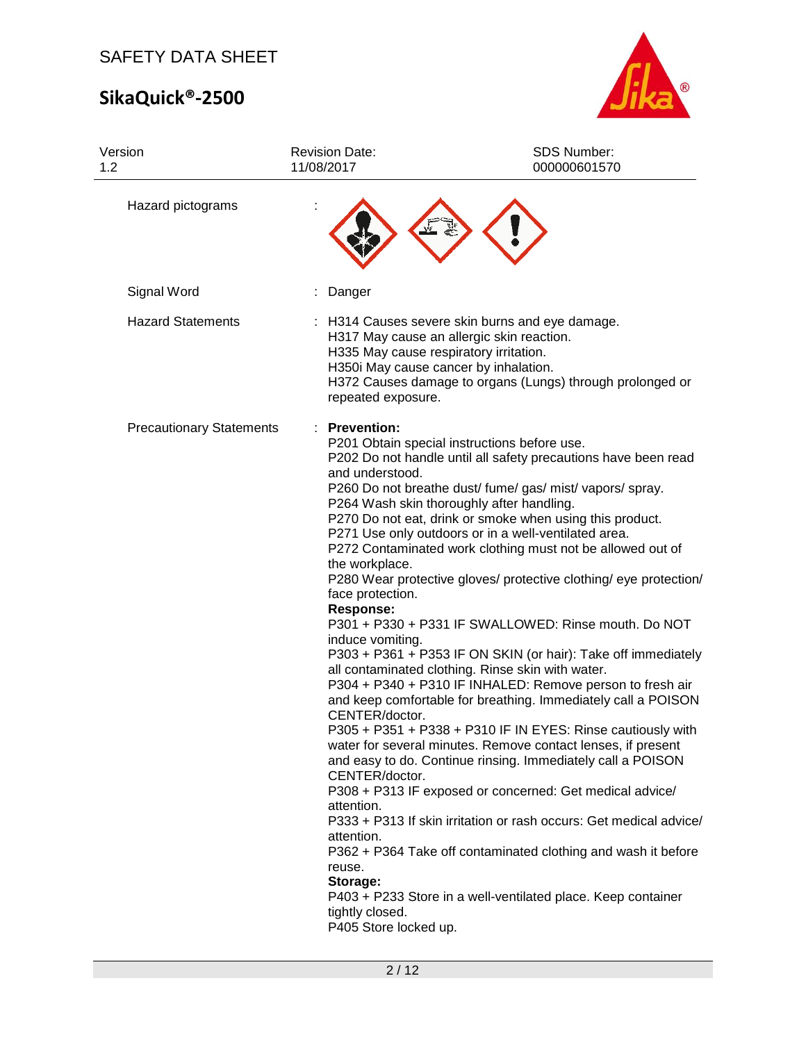# **SikaQuick®-2500**



| Version<br>1.2                  | <b>Revision Date:</b><br>11/08/2017                                                                                                                                                                                                                   | SDS Number:<br>000000601570                                                                                                                                                                                                                                                                                                                                                                                                                                                                                                                                                                                                                                                                                                                                                                                                                                                                                                                                                                                                                                                                                                                                                                                                                                  |
|---------------------------------|-------------------------------------------------------------------------------------------------------------------------------------------------------------------------------------------------------------------------------------------------------|--------------------------------------------------------------------------------------------------------------------------------------------------------------------------------------------------------------------------------------------------------------------------------------------------------------------------------------------------------------------------------------------------------------------------------------------------------------------------------------------------------------------------------------------------------------------------------------------------------------------------------------------------------------------------------------------------------------------------------------------------------------------------------------------------------------------------------------------------------------------------------------------------------------------------------------------------------------------------------------------------------------------------------------------------------------------------------------------------------------------------------------------------------------------------------------------------------------------------------------------------------------|
| Hazard pictograms               |                                                                                                                                                                                                                                                       |                                                                                                                                                                                                                                                                                                                                                                                                                                                                                                                                                                                                                                                                                                                                                                                                                                                                                                                                                                                                                                                                                                                                                                                                                                                              |
| Signal Word                     | Danger                                                                                                                                                                                                                                                |                                                                                                                                                                                                                                                                                                                                                                                                                                                                                                                                                                                                                                                                                                                                                                                                                                                                                                                                                                                                                                                                                                                                                                                                                                                              |
| <b>Hazard Statements</b>        | H335 May cause respiratory irritation.<br>H350i May cause cancer by inhalation.<br>repeated exposure.                                                                                                                                                 | H314 Causes severe skin burns and eye damage.<br>H317 May cause an allergic skin reaction.<br>H372 Causes damage to organs (Lungs) through prolonged or                                                                                                                                                                                                                                                                                                                                                                                                                                                                                                                                                                                                                                                                                                                                                                                                                                                                                                                                                                                                                                                                                                      |
| <b>Precautionary Statements</b> | <b>Prevention:</b><br>and understood.<br>the workplace.<br>face protection.<br><b>Response:</b><br>induce vomiting.<br>CENTER/doctor.<br>CENTER/doctor.<br>attention.<br>attention.<br>reuse.<br>Storage:<br>tightly closed.<br>P405 Store locked up. | P201 Obtain special instructions before use.<br>P202 Do not handle until all safety precautions have been read<br>P260 Do not breathe dust/ fume/ gas/ mist/ vapors/ spray.<br>P264 Wash skin thoroughly after handling.<br>P270 Do not eat, drink or smoke when using this product.<br>P271 Use only outdoors or in a well-ventilated area.<br>P272 Contaminated work clothing must not be allowed out of<br>P280 Wear protective gloves/ protective clothing/ eye protection/<br>P301 + P330 + P331 IF SWALLOWED: Rinse mouth. Do NOT<br>P303 + P361 + P353 IF ON SKIN (or hair): Take off immediately<br>all contaminated clothing. Rinse skin with water.<br>P304 + P340 + P310 IF INHALED: Remove person to fresh air<br>and keep comfortable for breathing. Immediately call a POISON<br>P305 + P351 + P338 + P310 IF IN EYES: Rinse cautiously with<br>water for several minutes. Remove contact lenses, if present<br>and easy to do. Continue rinsing. Immediately call a POISON<br>P308 + P313 IF exposed or concerned: Get medical advice/<br>P333 + P313 If skin irritation or rash occurs: Get medical advice/<br>P362 + P364 Take off contaminated clothing and wash it before<br>P403 + P233 Store in a well-ventilated place. Keep container |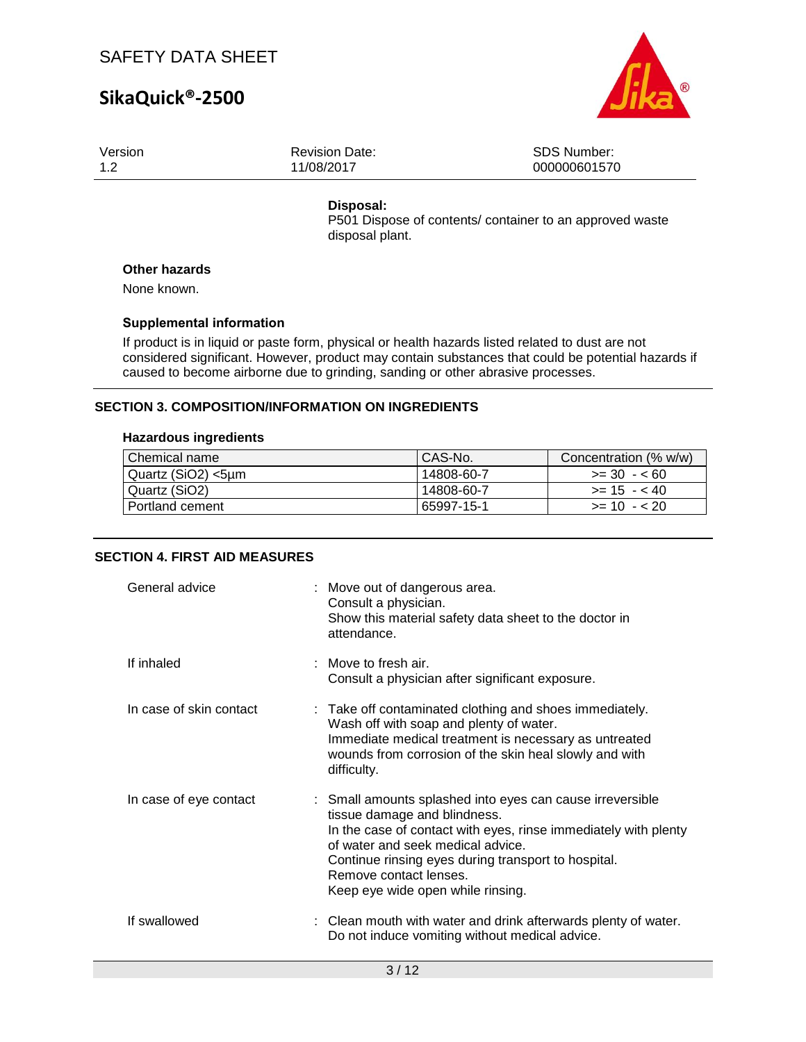## **SikaQuick®-2500**



| Version | <b>Revision Date:</b> | SDS Number:  |
|---------|-----------------------|--------------|
| 1.2     | 11/08/2017            | 000000601570 |
|         |                       |              |

### **Disposal:**

P501 Dispose of contents/ container to an approved waste disposal plant.

### **Other hazards**

None known.

### **Supplemental information**

If product is in liquid or paste form, physical or health hazards listed related to dust are not considered significant. However, product may contain substances that could be potential hazards if caused to become airborne due to grinding, sanding or other abrasive processes.

### **SECTION 3. COMPOSITION/INFORMATION ON INGREDIENTS**

#### **Hazardous ingredients**

| Chemical name      | CAS-No.    | Concentration (% w/w) |
|--------------------|------------|-----------------------|
| Quartz (SiO2) <5um | 14808-60-7 | $>= 30 - 60$          |
| Quartz (SiO2)      | 14808-60-7 | $>= 15 - 40$          |
| Portland cement    | 65997-15-1 | $>= 10 - 20$          |

### **SECTION 4. FIRST AID MEASURES**

| General advice          | : Move out of dangerous area.<br>Consult a physician.<br>Show this material safety data sheet to the doctor in<br>attendance.                                                                                                                                                                                           |
|-------------------------|-------------------------------------------------------------------------------------------------------------------------------------------------------------------------------------------------------------------------------------------------------------------------------------------------------------------------|
| If inhaled              | : Move to fresh air.<br>Consult a physician after significant exposure.                                                                                                                                                                                                                                                 |
| In case of skin contact | : Take off contaminated clothing and shoes immediately.<br>Wash off with soap and plenty of water.<br>Immediate medical treatment is necessary as untreated<br>wounds from corrosion of the skin heal slowly and with<br>difficulty.                                                                                    |
| In case of eye contact  | : Small amounts splashed into eyes can cause irreversible<br>tissue damage and blindness.<br>In the case of contact with eyes, rinse immediately with plenty<br>of water and seek medical advice.<br>Continue rinsing eyes during transport to hospital.<br>Remove contact lenses.<br>Keep eye wide open while rinsing. |
| If swallowed            | : Clean mouth with water and drink afterwards plenty of water.<br>Do not induce vomiting without medical advice.                                                                                                                                                                                                        |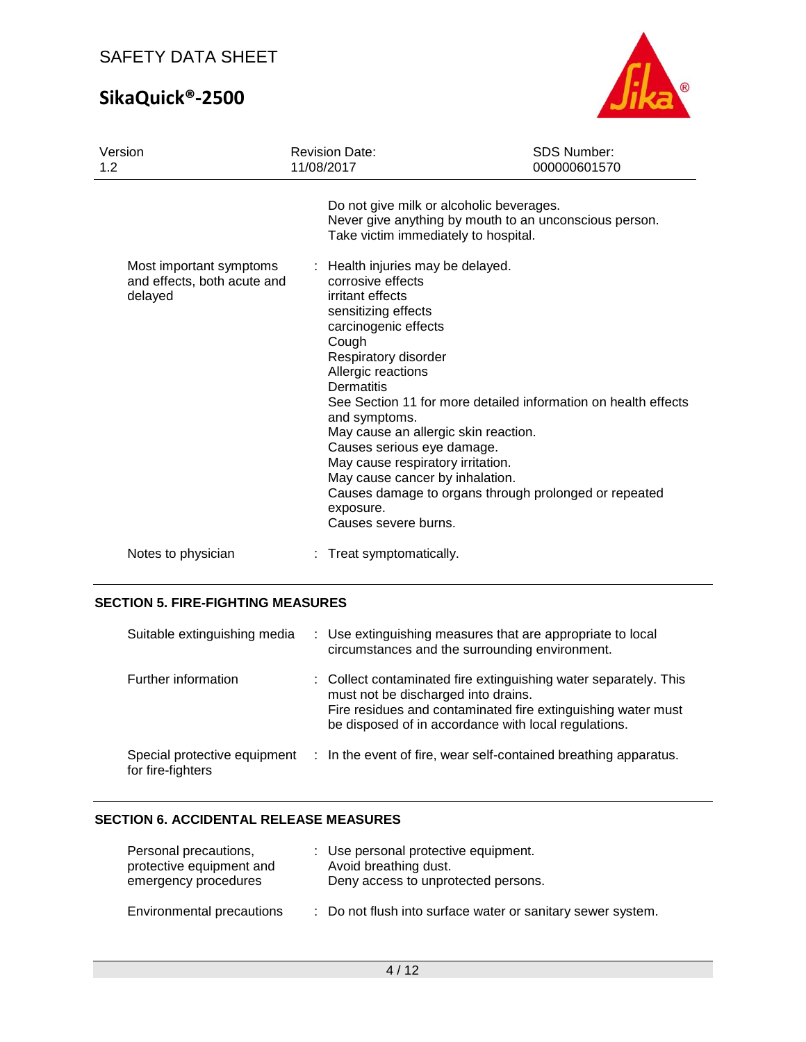# **SikaQuick®-2500**



| Version<br>1.2                                                    | <b>Revision Date:</b><br>11/08/2017                                                                                                                                                                                                                                  | <b>SDS Number:</b><br>000000601570                                                                                      |
|-------------------------------------------------------------------|----------------------------------------------------------------------------------------------------------------------------------------------------------------------------------------------------------------------------------------------------------------------|-------------------------------------------------------------------------------------------------------------------------|
| Most important symptoms<br>and effects, both acute and<br>delayed | Do not give milk or alcoholic beverages.<br>Take victim immediately to hospital.<br>: Health injuries may be delayed.<br>corrosive effects<br>irritant effects<br>sensitizing effects<br>carcinogenic effects<br>Cough<br>Respiratory disorder<br>Allergic reactions | Never give anything by mouth to an unconscious person.                                                                  |
|                                                                   | <b>Dermatitis</b><br>and symptoms.<br>May cause an allergic skin reaction.<br>Causes serious eye damage.<br>May cause respiratory irritation.<br>May cause cancer by inhalation.<br>exposure.<br>Causes severe burns.                                                | See Section 11 for more detailed information on health effects<br>Causes damage to organs through prolonged or repeated |
| Notes to physician                                                | Treat symptomatically.                                                                                                                                                                                                                                               |                                                                                                                         |

### **SECTION 5. FIRE-FIGHTING MEASURES**

| Suitable extinguishing media                      | : Use extinguishing measures that are appropriate to local<br>circumstances and the surrounding environment.                                                                                                                    |
|---------------------------------------------------|---------------------------------------------------------------------------------------------------------------------------------------------------------------------------------------------------------------------------------|
| Further information                               | : Collect contaminated fire extinguishing water separately. This<br>must not be discharged into drains.<br>Fire residues and contaminated fire extinguishing water must<br>be disposed of in accordance with local regulations. |
| Special protective equipment<br>for fire-fighters | : In the event of fire, wear self-contained breathing apparatus.                                                                                                                                                                |

### **SECTION 6. ACCIDENTAL RELEASE MEASURES**

| Personal precautions,<br>protective equipment and<br>emergency procedures | : Use personal protective equipment.<br>Avoid breathing dust.<br>Deny access to unprotected persons. |
|---------------------------------------------------------------------------|------------------------------------------------------------------------------------------------------|
| Environmental precautions                                                 | : Do not flush into surface water or sanitary sewer system.                                          |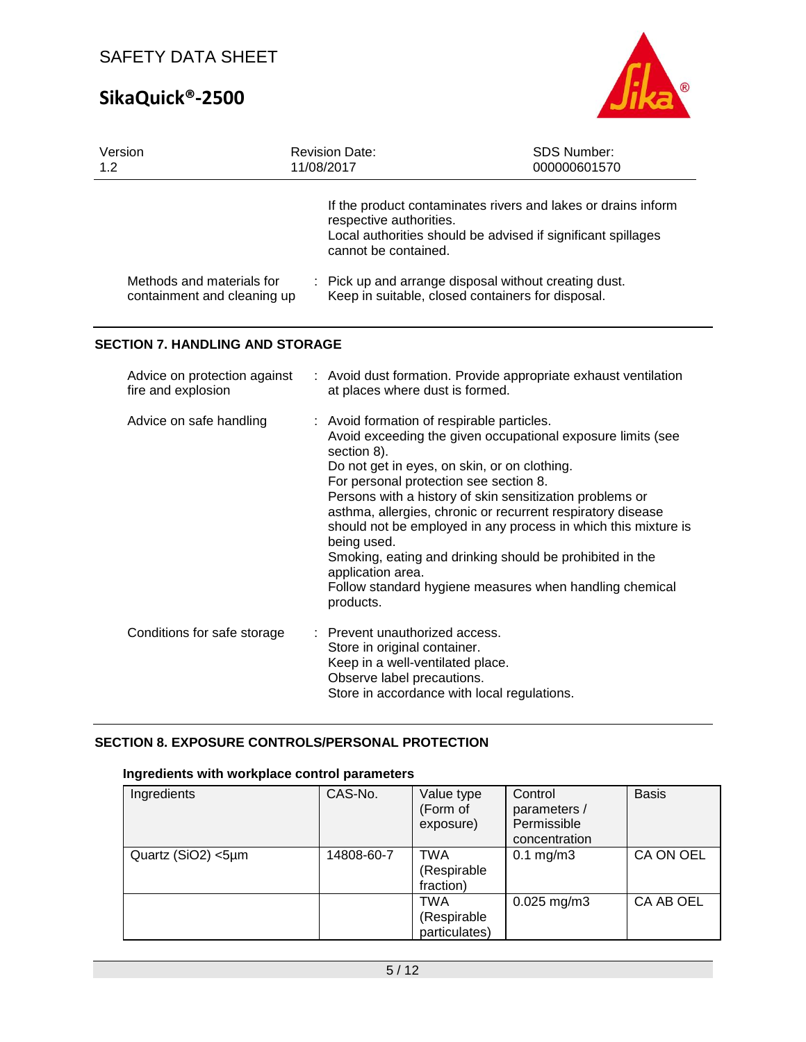# **SikaQuick®-2500**



| Version<br>1.2 |                                                          | <b>Revision Date:</b><br>11/08/2017 |                                                                                                                                                      | SDS Number:<br>000000601570                                                                                                                                                                                                                                                                                                                                                                                                     |
|----------------|----------------------------------------------------------|-------------------------------------|------------------------------------------------------------------------------------------------------------------------------------------------------|---------------------------------------------------------------------------------------------------------------------------------------------------------------------------------------------------------------------------------------------------------------------------------------------------------------------------------------------------------------------------------------------------------------------------------|
|                |                                                          |                                     | respective authorities.<br>cannot be contained.                                                                                                      | If the product contaminates rivers and lakes or drains inform<br>Local authorities should be advised if significant spillages                                                                                                                                                                                                                                                                                                   |
|                | Methods and materials for<br>containment and cleaning up |                                     |                                                                                                                                                      | : Pick up and arrange disposal without creating dust.<br>Keep in suitable, closed containers for disposal.                                                                                                                                                                                                                                                                                                                      |
|                | <b>SECTION 7. HANDLING AND STORAGE</b>                   |                                     |                                                                                                                                                      |                                                                                                                                                                                                                                                                                                                                                                                                                                 |
|                | Advice on protection against<br>fire and explosion       |                                     | at places where dust is formed.                                                                                                                      | : Avoid dust formation. Provide appropriate exhaust ventilation                                                                                                                                                                                                                                                                                                                                                                 |
|                | Advice on safe handling                                  |                                     | : Avoid formation of respirable particles.<br>section 8).<br>For personal protection see section 8.<br>being used.<br>application area.<br>products. | Avoid exceeding the given occupational exposure limits (see<br>Do not get in eyes, on skin, or on clothing.<br>Persons with a history of skin sensitization problems or<br>asthma, allergies, chronic or recurrent respiratory disease<br>should not be employed in any process in which this mixture is<br>Smoking, eating and drinking should be prohibited in the<br>Follow standard hygiene measures when handling chemical |
|                | Conditions for safe storage                              |                                     | Prevent unauthorized access.<br>Store in original container.<br>Keep in a well-ventilated place.<br>Observe label precautions.                       | Store in accordance with local regulations.                                                                                                                                                                                                                                                                                                                                                                                     |

### **SECTION 8. EXPOSURE CONTROLS/PERSONAL PROTECTION**

### **Ingredients with workplace control parameters**

| Ingredients        | CAS-No.    | Value type<br>(Form of<br>exposure) | Control<br>parameters /<br>Permissible<br>concentration | <b>Basis</b>     |
|--------------------|------------|-------------------------------------|---------------------------------------------------------|------------------|
| Quartz (SiO2) <5µm | 14808-60-7 | TWA<br>(Respirable<br>fraction)     | $0.1 \text{ mg/m}$ 3                                    | <b>CA ON OEL</b> |
|                    |            | TWA<br>(Respirable<br>particulates) | $0.025$ mg/m3                                           | CA AB OEL        |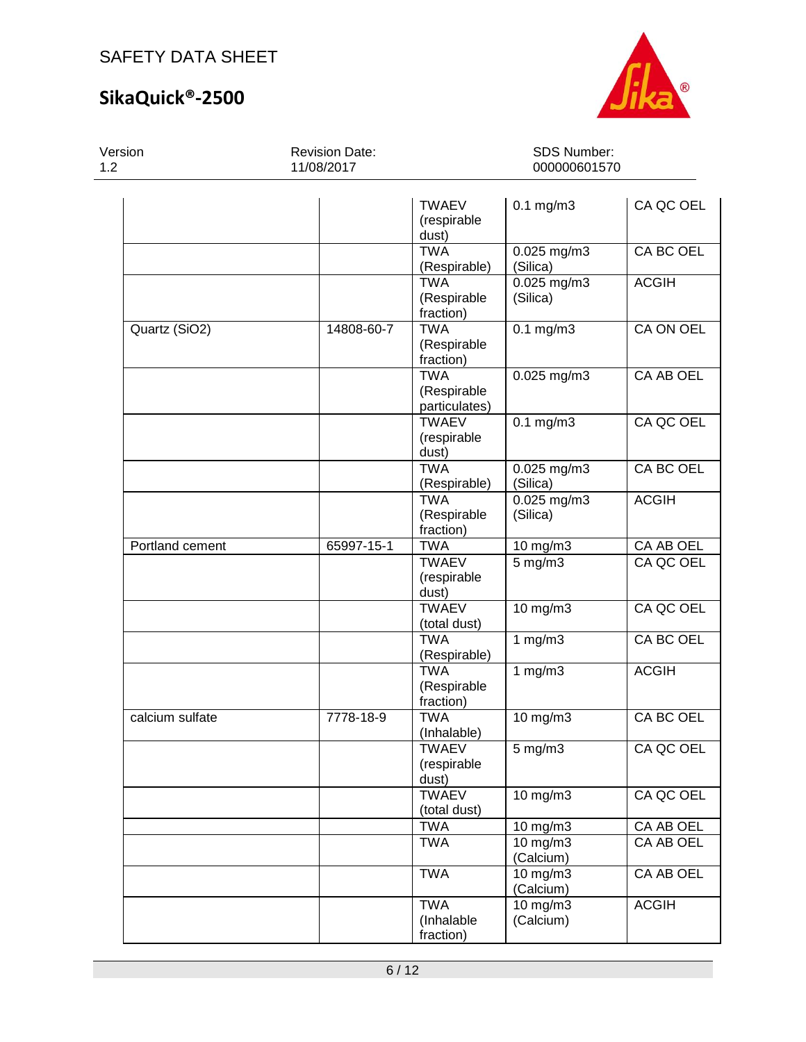## **SikaQuick®-2500**



Version 1.2 Revision Date: 11/08/2017 SDS Number: 000000601570 TWAEV (respirable dust) 0.1 mg/m3 CA QC OEL TWA (Respirable) 0.025 mg/m3 (Silica) CA BC OEL TWA (Respirable fraction) 0.025 mg/m3 (Silica) ACGIH Quartz (SiO2) 14808-60-7 TWA (Respirable fraction) 0.1 mg/m3 CA ON OEL TWA (Respirable particulates) 0.025 mg/m3 | CA AB OEL **TWAEV** (respirable dust) 0.1 mg/m3 CA QC OEL TWA (Respirable) 0.025 mg/m3 (Silica) CA BC OEL TWA (Respirable fraction) 0.025 mg/m3 (Silica) ACGIH Portland cement 65997-15-1 TWA 10 mg/m3 CA AB OEL **TWAEV** (respirable dust) 5 mg/m3 CA QC OEL **TWAEV** (total dust) 10 mg/m3 CA QC OEL TWA (Respirable) 1 mg/m3 CA BC OEL TWA (Respirable fraction) 1 mg/m3 ACGIH calcium sulfate 7778-18-9 TWA (Inhalable) 10 mg/m3 CA BC OEL **TWAFV** (respirable dust) 5 mg/m3 CA QC OEL **TWAEV** (total dust)<br>TWA 10 mg/m3 | CA QC OEL 10 mg/m3 CA AB OEL TWA 10 mg/m3 (Calcium) CA AB OEL TWA 10 mg/m3 (Calcium) CA AB OEL TWA (Inhalable fraction) 10 mg/m3 (Calcium) ACGIH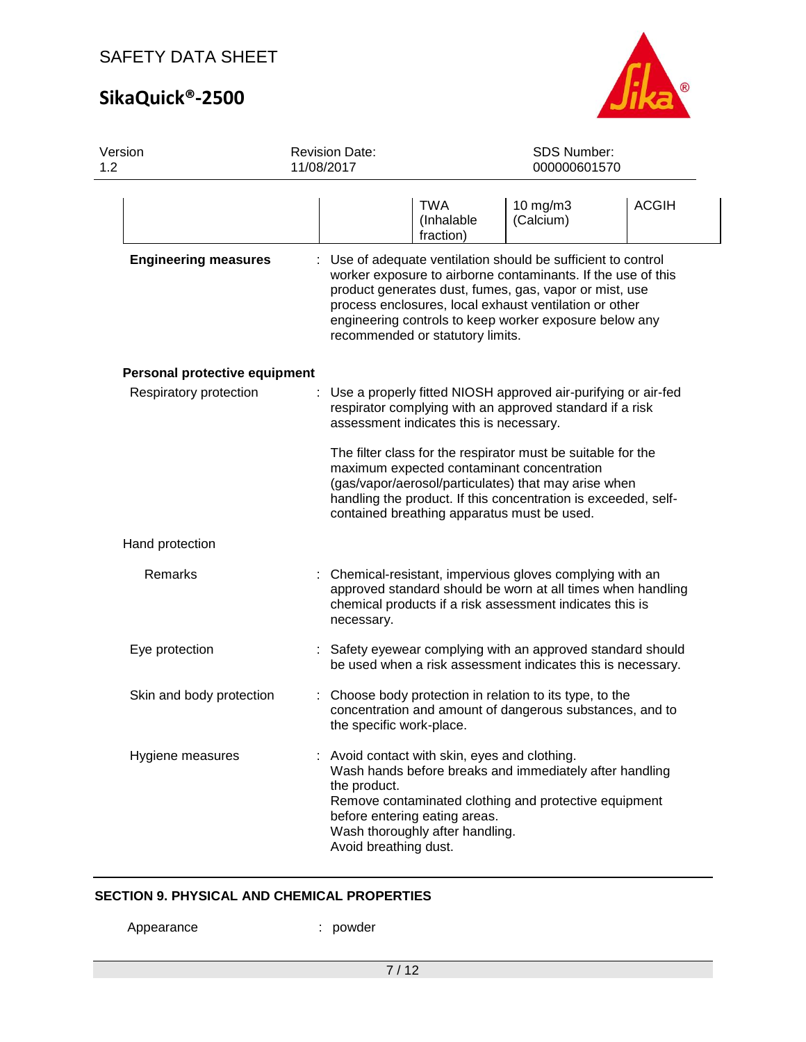# **SikaQuick®-2500**



| Version<br>1.2                | <b>Revision Date:</b><br>11/08/2017   |                                                                                                                                                                                    | SDS Number:<br>000000601570                                                                                                                                                                                                                                                                               |              |
|-------------------------------|---------------------------------------|------------------------------------------------------------------------------------------------------------------------------------------------------------------------------------|-----------------------------------------------------------------------------------------------------------------------------------------------------------------------------------------------------------------------------------------------------------------------------------------------------------|--------------|
|                               |                                       | TWA<br>(Inhalable<br>fraction)                                                                                                                                                     | 10 mg/m3<br>(Calcium)                                                                                                                                                                                                                                                                                     | <b>ACGIH</b> |
| <b>Engineering measures</b>   |                                       | recommended or statutory limits.                                                                                                                                                   | Use of adequate ventilation should be sufficient to control<br>worker exposure to airborne contaminants. If the use of this<br>product generates dust, fumes, gas, vapor or mist, use<br>process enclosures, local exhaust ventilation or other<br>engineering controls to keep worker exposure below any |              |
| Personal protective equipment |                                       |                                                                                                                                                                                    |                                                                                                                                                                                                                                                                                                           |              |
| Respiratory protection        |                                       | assessment indicates this is necessary.                                                                                                                                            | Use a properly fitted NIOSH approved air-purifying or air-fed<br>respirator complying with an approved standard if a risk                                                                                                                                                                                 |              |
|                               |                                       | contained breathing apparatus must be used.                                                                                                                                        | The filter class for the respirator must be suitable for the<br>maximum expected contaminant concentration<br>(gas/vapor/aerosol/particulates) that may arise when<br>handling the product. If this concentration is exceeded, self-                                                                      |              |
| Hand protection               |                                       |                                                                                                                                                                                    |                                                                                                                                                                                                                                                                                                           |              |
| Remarks                       | necessary.                            | Chemical-resistant, impervious gloves complying with an<br>approved standard should be worn at all times when handling<br>chemical products if a risk assessment indicates this is |                                                                                                                                                                                                                                                                                                           |              |
| Eye protection                |                                       |                                                                                                                                                                                    | : Safety eyewear complying with an approved standard should<br>be used when a risk assessment indicates this is necessary.                                                                                                                                                                                |              |
| Skin and body protection      | the specific work-place.              |                                                                                                                                                                                    | Choose body protection in relation to its type, to the<br>concentration and amount of dangerous substances, and to                                                                                                                                                                                        |              |
| Hygiene measures              | the product.<br>Avoid breathing dust. | Avoid contact with skin, eyes and clothing.<br>before entering eating areas.<br>Wash thoroughly after handling.                                                                    | Wash hands before breaks and immediately after handling<br>Remove contaminated clothing and protective equipment                                                                                                                                                                                          |              |

### **SECTION 9. PHYSICAL AND CHEMICAL PROPERTIES**

Appearance : powder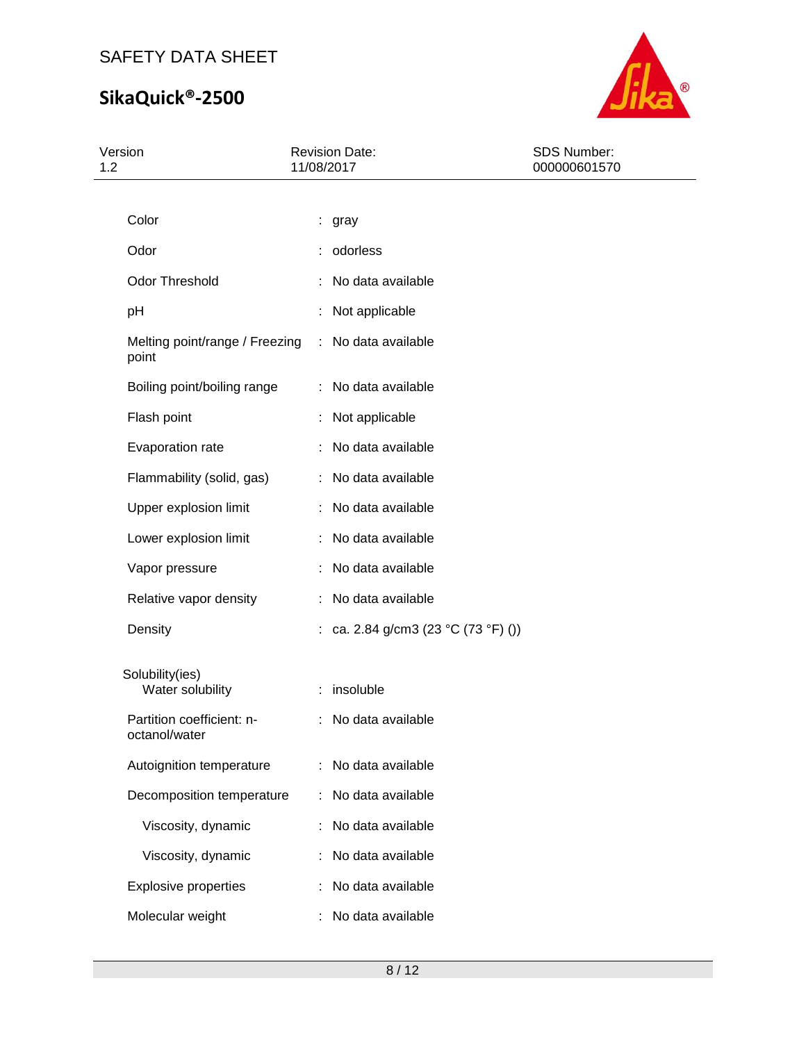# **SikaQuick®-2500**



| Version<br>1.2 |                                                             |   | <b>Revision Date:</b><br>11/08/2017 | SDS Number:<br>000000601570 |
|----------------|-------------------------------------------------------------|---|-------------------------------------|-----------------------------|
|                |                                                             |   |                                     |                             |
|                | Color                                                       |   | : gray                              |                             |
|                | Odor                                                        |   | : odorless                          |                             |
|                | <b>Odor Threshold</b>                                       |   | : No data available                 |                             |
|                | pH                                                          |   | Not applicable                      |                             |
|                | Melting point/range / Freezing : No data available<br>point |   |                                     |                             |
|                | Boiling point/boiling range                                 |   | : No data available                 |                             |
|                | Flash point                                                 |   | Not applicable                      |                             |
|                | Evaporation rate                                            |   | No data available                   |                             |
|                | Flammability (solid, gas)                                   |   | No data available                   |                             |
|                | Upper explosion limit                                       |   | : No data available                 |                             |
|                | Lower explosion limit                                       |   | : No data available                 |                             |
|                | Vapor pressure                                              |   | No data available                   |                             |
|                | Relative vapor density                                      | ÷ | No data available                   |                             |
|                | Density                                                     |   | : ca. 2.84 g/cm3 (23 °C (73 °F) ()) |                             |
|                | Solubility(ies)                                             |   |                                     |                             |
|                | Water solubility                                            |   | : insoluble                         |                             |
|                | Partition coefficient: n-<br>octanol/water                  |   | : No data available                 |                             |
|                | Autoignition temperature                                    |   | No data available                   |                             |
|                | Decomposition temperature                                   |   | No data available                   |                             |
|                | Viscosity, dynamic                                          |   | No data available                   |                             |
|                | Viscosity, dynamic                                          |   | No data available                   |                             |
|                | <b>Explosive properties</b>                                 |   | No data available                   |                             |
|                | Molecular weight                                            |   | No data available                   |                             |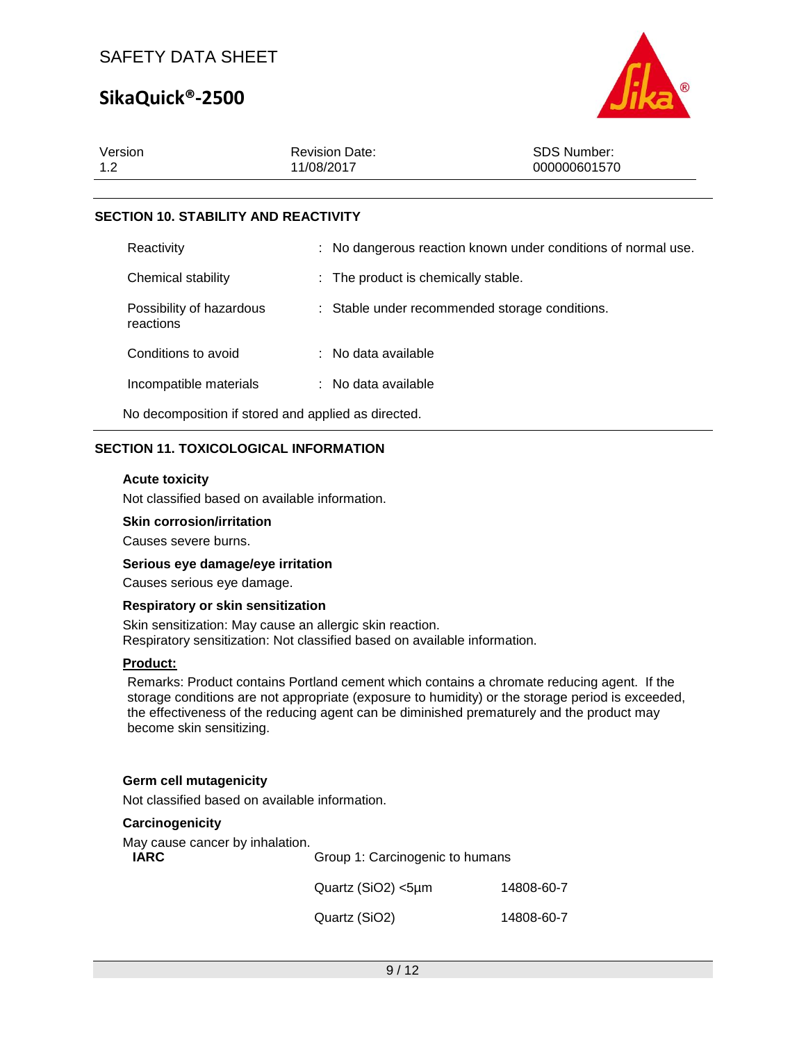## **SikaQuick®-2500**



| Version | <b>Revision Date:</b> | SDS Number:  |
|---------|-----------------------|--------------|
| 1.2     | 11/08/2017            | 000000601570 |
|         |                       |              |

### **SECTION 10. STABILITY AND REACTIVITY**

| Reactivity                                          |  | : No dangerous reaction known under conditions of normal use. |
|-----------------------------------------------------|--|---------------------------------------------------------------|
| Chemical stability                                  |  | : The product is chemically stable.                           |
| Possibility of hazardous<br>reactions               |  | : Stable under recommended storage conditions.                |
| Conditions to avoid                                 |  | : No data available                                           |
| Incompatible materials                              |  | : No data available                                           |
| No decomposition if stored and applied as directed. |  |                                                               |

### **SECTION 11. TOXICOLOGICAL INFORMATION**

### **Acute toxicity**

Not classified based on available information.

### **Skin corrosion/irritation**

Causes severe burns.

### **Serious eye damage/eye irritation**

Causes serious eye damage.

### **Respiratory or skin sensitization**

Skin sensitization: May cause an allergic skin reaction. Respiratory sensitization: Not classified based on available information.

### **Product:**

Remarks: Product contains Portland cement which contains a chromate reducing agent. If the storage conditions are not appropriate (exposure to humidity) or the storage period is exceeded, the effectiveness of the reducing agent can be diminished prematurely and the product may become skin sensitizing.

### **Germ cell mutagenicity**

Not classified based on available information.

### **Carcinogenicity**

May cause cancer by inhalation.<br> **IARC** 

| IARC | Group 1: Carcinogenic to humans |            |
|------|---------------------------------|------------|
|      | Quartz $(SiO2) < 5 \mu m$       | 14808-60-7 |
|      | Quartz (SiO2)                   | 14808-60-7 |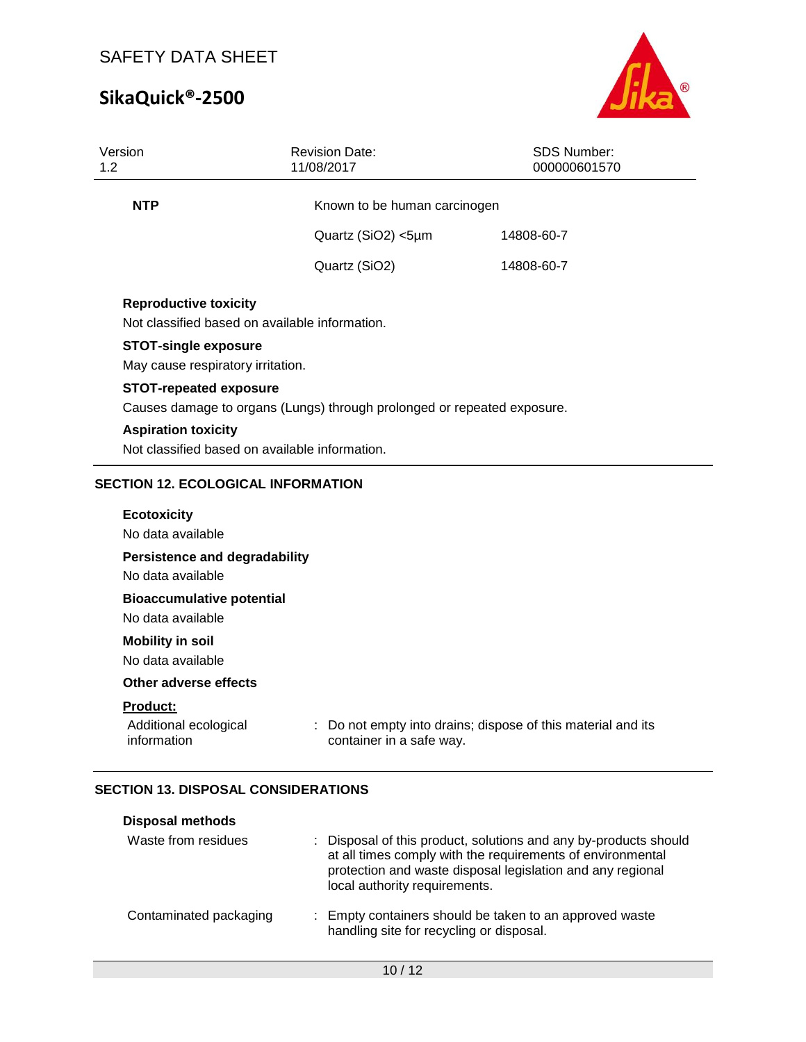# **SikaQuick®-2500**



| Version<br>1.2                                                                 | <b>Revision Date:</b><br>11/08/2017                                                                      | SDS Number:<br>000000601570                                  |  |  |  |
|--------------------------------------------------------------------------------|----------------------------------------------------------------------------------------------------------|--------------------------------------------------------------|--|--|--|
| <b>NTP</b>                                                                     | Known to be human carcinogen                                                                             |                                                              |  |  |  |
|                                                                                | Quartz (SiO2) <5µm                                                                                       | 14808-60-7                                                   |  |  |  |
|                                                                                | Quartz (SiO2)                                                                                            | 14808-60-7                                                   |  |  |  |
| <b>Reproductive toxicity</b><br>Not classified based on available information. |                                                                                                          |                                                              |  |  |  |
| <b>STOT-single exposure</b><br>May cause respiratory irritation.               |                                                                                                          |                                                              |  |  |  |
|                                                                                | <b>STOT-repeated exposure</b><br>Causes damage to organs (Lungs) through prolonged or repeated exposure. |                                                              |  |  |  |
| <b>Aspiration toxicity</b>                                                     | Not classified based on available information.                                                           |                                                              |  |  |  |
| <b>SECTION 12. ECOLOGICAL INFORMATION</b>                                      |                                                                                                          |                                                              |  |  |  |
| <b>Ecotoxicity</b><br>No data available                                        |                                                                                                          |                                                              |  |  |  |
| <b>Persistence and degradability</b><br>No data available                      |                                                                                                          |                                                              |  |  |  |
| <b>Bioaccumulative potential</b><br>No data available                          |                                                                                                          |                                                              |  |  |  |
| <b>Mobility in soil</b><br>No data available                                   |                                                                                                          |                                                              |  |  |  |
| Other adverse effects                                                          |                                                                                                          |                                                              |  |  |  |
| Product:<br>Additional ecological<br>information                               | container in a safe way.                                                                                 | : Do not empty into drains; dispose of this material and its |  |  |  |

### **SECTION 13. DISPOSAL CONSIDERATIONS**

| <b>Disposal methods</b> |                                                                                                                                                                                                                               |
|-------------------------|-------------------------------------------------------------------------------------------------------------------------------------------------------------------------------------------------------------------------------|
| Waste from residues     | : Disposal of this product, solutions and any by-products should<br>at all times comply with the requirements of environmental<br>protection and waste disposal legislation and any regional<br>local authority requirements. |
| Contaminated packaging  | : Empty containers should be taken to an approved waste<br>handling site for recycling or disposal.                                                                                                                           |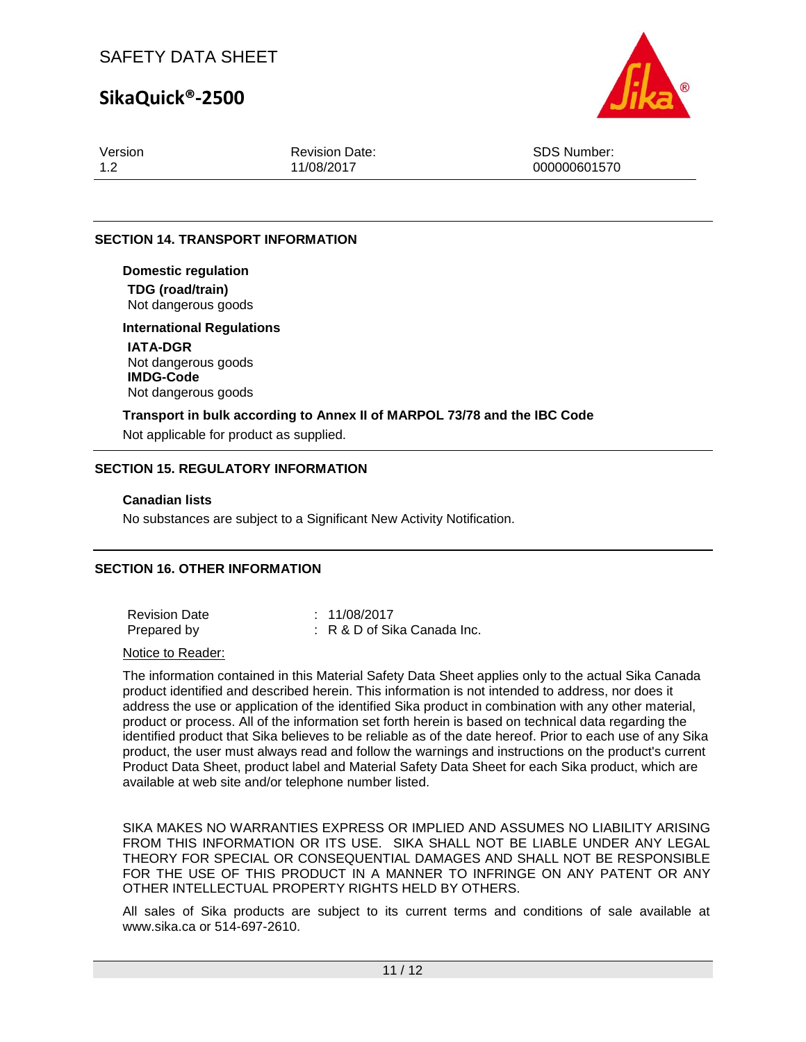## **SikaQuick®-2500**



Version 1.2

Revision Date: 11/08/2017

SDS Number: 000000601570

### **SECTION 14. TRANSPORT INFORMATION**

**Domestic regulation TDG (road/train)** Not dangerous goods

**International Regulations IATA-DGR** Not dangerous goods **IMDG-Code** Not dangerous goods

**Transport in bulk according to Annex II of MARPOL 73/78 and the IBC Code** Not applicable for product as supplied.

### **SECTION 15. REGULATORY INFORMATION**

### **Canadian lists**

No substances are subject to a Significant New Activity Notification.

### **SECTION 16. OTHER INFORMATION**

| <b>Revision Date</b> | : 11/08/2017                           |
|----------------------|----------------------------------------|
| Prepared by          | $\therefore$ R & D of Sika Canada Inc. |

#### Notice to Reader:

The information contained in this Material Safety Data Sheet applies only to the actual Sika Canada product identified and described herein. This information is not intended to address, nor does it address the use or application of the identified Sika product in combination with any other material, product or process. All of the information set forth herein is based on technical data regarding the identified product that Sika believes to be reliable as of the date hereof. Prior to each use of any Sika product, the user must always read and follow the warnings and instructions on the product's current Product Data Sheet, product label and Material Safety Data Sheet for each Sika product, which are available at web site and/or telephone number listed.

SIKA MAKES NO WARRANTIES EXPRESS OR IMPLIED AND ASSUMES NO LIABILITY ARISING FROM THIS INFORMATION OR ITS USE. SIKA SHALL NOT BE LIABLE UNDER ANY LEGAL THEORY FOR SPECIAL OR CONSEQUENTIAL DAMAGES AND SHALL NOT BE RESPONSIBLE FOR THE USE OF THIS PRODUCT IN A MANNER TO INFRINGE ON ANY PATENT OR ANY OTHER INTELLECTUAL PROPERTY RIGHTS HELD BY OTHERS.

All sales of Sika products are subject to its current terms and conditions of sale available at www.sika.ca or 514-697-2610.